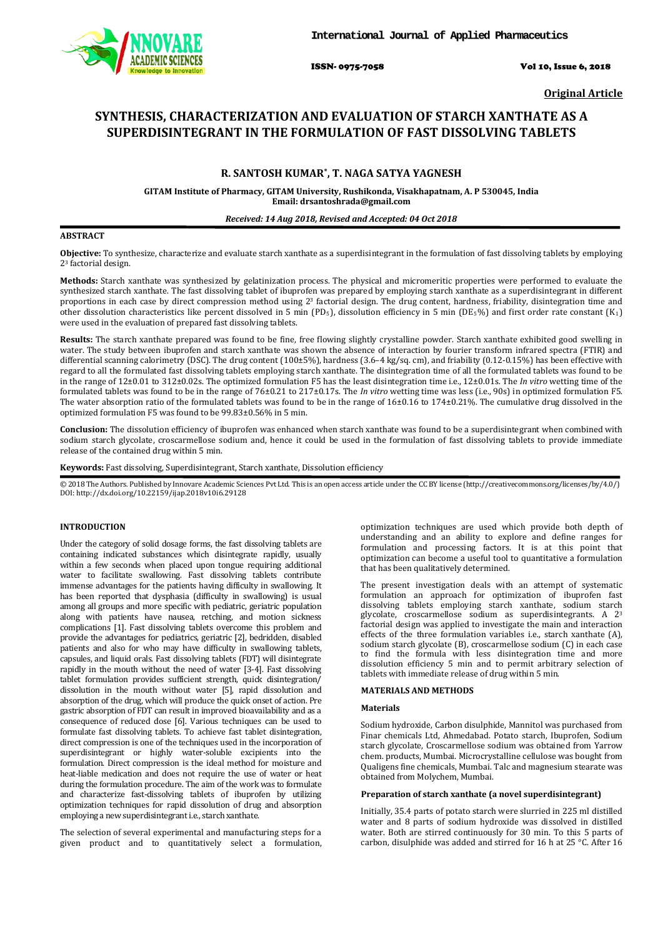

ISSN- 0975-7058 Vol 10, Issue 6, 2018

**Original Article**

# **SYNTHESIS, CHARACTERIZATION AND EVALUATION OF STARCH XANTHATE AS A SUPERDISINTEGRANT IN THE FORMULATION OF FAST DISSOLVING TABLETS**

# **R. SANTOSH KUMAR\* , T. NAGA SATYA YAGNESH**

**GITAM Institute of Pharmacy, GITAM University, Rushikonda, Visakhapatnam, A. P 530045, India Email: drsantoshrada@gmail.com**

# *Received: 14 Aug 2018, Revised and Accepted: 04 Oct 2018*

# **ABSTRACT**

**Objective:** To synthesize, characterize and evaluate starch xanthate as a superdisintegrant in the formulation of fast dissolving tablets by employing 23 factorial design.

**Methods:** Starch xanthate was synthesized by gelatinization process. The physical and micromeritic properties were performed to evaluate the synthesized starch xanthate. The fast dissolving tablet of ibuprofen was prepared by employing starch xanthate as a superdisintegrant in different proportions in each case by direct compression method using 2<sup>3</sup> factorial design. The drug content, hardness, friability, disintegration time and other dissolution characteristics like percent dissolved in 5 min (PD5), dissolution efficiency in 5 min (DE5%) and first order rate constant (K1 ) were used in the evaluation of prepared fast dissolving tablets.

**Results:** The starch xanthate prepared was found to be fine, free flowing slightly crystalline powder. Starch xanthate exhibited good swelling in water. The study between ibuprofen and starch xanthate was shown the absence of interaction by fourier transform infrared spectra (FTIR) and differential scanning calorimetry (DSC). The drug content (100±5%), hardness (3.6–4 kg/sq. cm), and friability (0.12-0.15%) has been effective with regard to all the formulated fast dissolving tablets employing starch xanthate. The disintegration time of all the formulated tablets was found to be in the range of 12±0.01 to 312±0.02s. The optimized formulation F5 has the least disintegration time i.e., 12±0.01s. The *In vitro* wetting time of the formulated tablets was found to be in the range of 76±0.21 to 217±0.17s. The *In vitro* wetting time was less (i.e., 90s) in optimized formulation F5. The water absorption ratio of the formulated tablets was found to be in the range of 16±0.16 to 174±0.21%. The cumulative drug dissolved in the optimized formulation F5 was found to be 99.83±0.56% in 5 min.

**Conclusion:** The dissolution efficiency of ibuprofen was enhanced when starch xanthate was found to be a superdisintegrant when combined with sodium starch glycolate, croscarmellose sodium and, hence it could be used in the formulation of fast dissolving tablets to provide immediate release of the contained drug within 5 min.

**Keywords:** Fast dissolving, Superdisintegrant, Starch xanthate, Dissolution efficiency

© 2018 The Authors. Published by Innovare Academic Sciences Pvt Ltd. This is an open access article under the CC BY license [\(http://creativecommons.org/licenses/by/4.0/\)](http://creativecommons.org/licenses/by/4.0/) DOI: http://dx.doi.org/10.22159/ijap.2018v10i6.29128

#### **INTRODUCTION**

Under the category of solid dosage forms, the fast dissolving tablets are containing indicated substances which disintegrate rapidly, usually within a few seconds when placed upon tongue requiring additional water to facilitate swallowing. Fast dissolving tablets contribute immense advantages for the patients having difficulty in swallowing. It has been reported that dysphasia (difficulty in swallowing) is usual among all groups and more specific with pediatric, geriatric population along with patients have nausea, retching, and motion sickness complications [1]. Fast dissolving tablets overcome this problem and provide the advantages for pediatrics, geriatric [2], bedridden, disabled patients and also for who may have difficulty in swallowing tablets, capsules, and liquid orals. Fast dissolving tablets (FDT) will disintegrate rapidly in the mouth without the need of water [3-4]. Fast dissolving tablet formulation provides sufficient strength, quick disintegration/ dissolution in the mouth without water [5], rapid dissolution and absorption of the drug, which will produce the quick onset of action. Pre gastric absorption of FDT can result in improved bioavailability and as a consequence of reduced dose [6]. Various techniques can be used to formulate fast dissolving tablets. To achieve fast tablet disintegration, direct compression is one of the techniques used in the incorporation of superdisintegrant or highly water-soluble excipients into the formulation. Direct compression is the ideal method for moisture and heat-liable medication and does not require the use of water or heat during the formulation procedure. The aim of the work was to formulate and characterize fast-dissolving tablets of ibuprofen by utilizing optimization techniques for rapid dissolution of drug and absorption employing a new superdisintegrant i.e., starch xanthate.

The selection of several experimental and manufacturing steps for a given product and to quantitatively select a formulation,

optimization techniques are used which provide both depth of understanding and an ability to explore and define ranges for formulation and processing factors. It is at this point that optimization can become a useful tool to quantitative a formulation that has been qualitatively determined.

The present investigation deals with an attempt of systematic formulation an approach for optimization of ibuprofen fast dissolving tablets employing starch xanthate, sodium starch glycolate, croscarmellose sodium as superdisintegrants. A 23 factorial design was applied to investigate the main and interaction effects of the three formulation variables i.e., starch xanthate (A), sodium starch glycolate (B), croscarmellose sodium (C) in each case to find the formula with less disintegration time and more dissolution efficiency 5 min and to permit arbitrary selection of tablets with immediate release of drug within 5 min.

# **MATERIALS AND METHODS**

#### **Materials**

Sodium hydroxide, Carbon disulphide, Mannitol was purchased from Finar chemicals Ltd, Ahmedabad. Potato starch, Ibuprofen, Sodium starch glycolate, Croscarmellose sodium was obtained from Yarrow chem. products, Mumbai. Microcrystalline cellulose was bought from Qualigens fine chemicals, Mumbai. Talc and magnesium stearate was obtained from Molychem, Mumbai.

# **Preparation of starch xanthate (a novel superdisintegrant)**

Initially, 35.4 parts of potato starch were slurried in 225 ml distilled water and 8 parts of sodium hydroxide was dissolved in distilled water. Both are stirred continuously for 30 min. To this 5 parts of carbon, disulphide was added and stirred for 16 h at 25 °C. After 16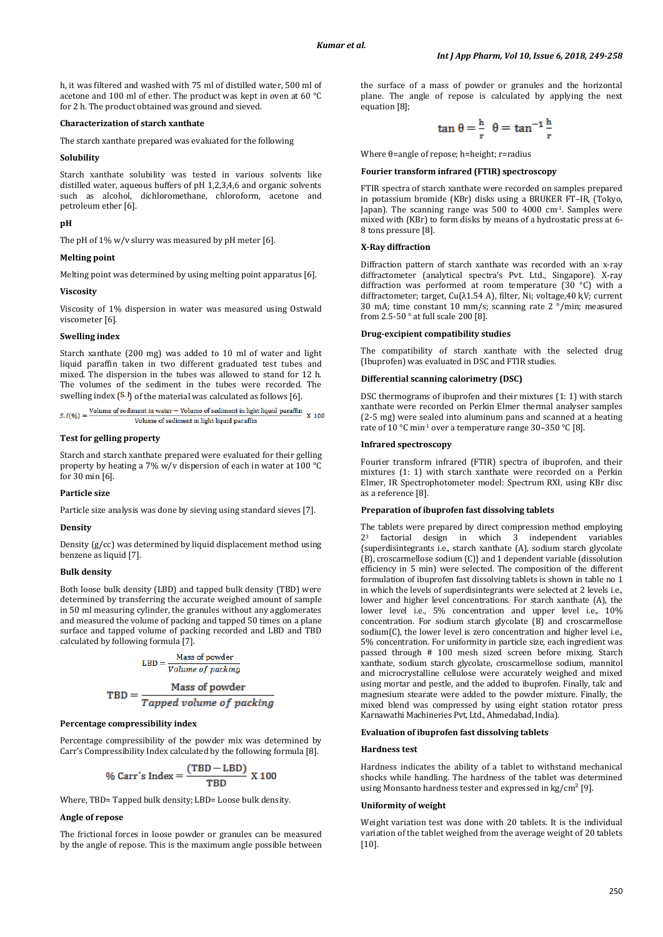h, it was filtered and washed with 75 ml of distilled water, 500 ml of acetone and 100 ml of ether. The product was kept in oven at 60 °C for 2 h. The product obtained was ground and sieved.

#### **Characterization of starch xanthate**

The starch xanthate prepared was evaluated for the following

#### **Solubility**

Starch xanthate solubility was tested in various solvents like distilled water, aqueous buffers of pH 1,2,3,4,6 and organic solvents such as alcohol, dichloromethane, chloroform, acetone and petroleum ether [6].

# **pH**

The pH of 1% w/v slurry was measured by pH meter [6].

#### **Melting point**

Melting point was determined by using melting point apparatus [6].

#### **Viscosity**

Viscosity of 1% dispersion in water was measured using Ostwald viscometer [6].

#### **Swelling index**

Starch xanthate (200 mg) was added to 10 ml of water and light liquid paraffin taken in two different graduated test tubes and mixed. The dispersion in the tubes was allowed to stand for 12 h. The volumes of the sediment in the tubes were recorded. The

```
swelling index (<sup>S. I</sup>) of the material was calculated as follows [6].<br>
s. I(\% ) = \frac{\text{Volume of sediment in water} - \text{Volume of sediment in light liquid paraffin}}{X \cdot 100}Volume of sediment in light liquid paraffin
```
#### **Test for gelling property**

Starch and starch xanthate prepared were evaluated for their gelling property by heating a 7% w/v dispersion of each in water at 100 °C for 30 min [6].

#### **Particle size**

Particle size analysis was done by sieving using standard sieves [7].

### **Density**

Density (g/cc) was determined by liquid displacement method using benzene as liquid [7].

# **Bulk density**

Both loose bulk density (LBD) and tapped bulk density (TBD) were determined by transferring the accurate weighed amount of sample in 50 ml measuring cylinder, the granules without any agglomerates and measured the volume of packing and tapped 50 times on a plane surface and tapped volume of packing recorded and LBD and TBD calculated by following formula [7].

$$
\text{LBD} = \frac{\text{Mass of powder}}{\text{Volume of packing}}
$$

$$
TBD = \frac{Mass\ of\ powder}{Tapped\ volume\ of\ packing}
$$

# **Percentage compressibility index**

Percentage compressibility of the powder mix was determined by Carr's Compressibility Index calculated by the following formula [8].

$$
\% \text{ Carr's Index} = \frac{(\text{TBD} - \text{LBD})}{\text{TBD}} \text{ X 100}
$$

Where, TBD= Tapped bulk density; LBD= Loose bulk density.

# **Angle of repose**

The frictional forces in loose powder or granules can be measured by the angle of repose. This is the maximum angle possible between the surface of a mass of powder or granules and the horizontal plane. The angle of repose is calculated by applying the next equation [8];

$$
\tan \theta = \frac{h}{r} \ \theta = \tan^{-1} \frac{h}{r}
$$

Where θ=angle of repose; h=height; r=radius

### **Fourier transform infrared (FTIR) spectroscopy**

FTIR spectra of starch xanthate were recorded on samples prepared in potassium bromide (KBr) disks using a BRUKER FT–IR, (Tokyo, Japan). The scanning range was 500 to 4000 cm-1. Samples were mixed with (KBr) to form disks by means of a hydrostatic press at 6- 8 tons pressure [8].

#### **X-Ray diffraction**

Diffraction pattern of starch xanthate was recorded with an x-ray diffractometer (analytical spectra's Pvt. Ltd., Singapore). X-ray diffraction was performed at room temperature (30 °C) with a diffractometer; target, Cu(λ1.54 A), filter, Ni; voltage, 40 kV; current 30 mA; time constant 10 mm/s; scanning rate 2 °/min; measured from 2.5-50  $^{\circ}$  at full scale 200 [8].

# **Drug-excipient compatibility studies**

The compatibility of starch xanthate with the selected drug (Ibuprofen) was evaluated in DSC and FTIR studies.

#### **Differential scanning calorimetry (DSC)**

DSC thermograms of ibuprofen and their mixtures (1: 1) with starch xanthate were recorded on Perkin Elmer thermal analyser samples (2-5 mg) were sealed into aluminum pans and scanned at a heating rate of  $10^{\circ}$ C min<sup>-1</sup> over a temperature range 30-350 °C [8].

#### **Infrared spectroscopy**

Fourier transform infrared (FTIR) spectra of ibuprofen, and their mixtures (1: 1) with starch xanthate were recorded on a Perkin Elmer, IR Spectrophotometer model: Spectrum RXI, using KBr disc as a reference [8].

#### **Preparation of ibuprofen fast dissolving tablets**

The tablets were prepared by direct compression method employing 23 factorial design in which 3 independent variables {superdisintegrants i.e., starch xanthate (A), sodium starch glycolate (B), croscarmellose sodium (C)} and 1 dependent variable (dissolution efficiency in 5 min) were selected. The composition of the different formulation of ibuprofen fast dissolving tablets is shown in table no 1 in which the levels of superdisintegrants were selected at 2 levels i.e., lower and higher level concentrations. For starch xanthate (A), the lower level i.e., 5% concentration and upper level i.e., 10% concentration. For sodium starch glycolate (B) and croscarmellose sodium(C), the lower level is zero concentration and higher level i.e., 5% concentration. For uniformity in particle size, each ingredient was passed through # 100 mesh sized screen before mixing. Starch xanthate, sodium starch glycolate, croscarmellose sodium, mannitol and microcrystalline cellulose were accurately weighed and mixed using mortar and pestle, and the added to ibuprofen. Finally, talc and magnesium stearate were added to the powder mixture. Finally, the mixed blend was compressed by using eight station rotator press Karnawathi Machineries Pvt, Ltd., Ahmedabad, India).

#### **Evaluation of ibuprofen fast dissolving tablets**

#### **Hardness test**

Hardness indicates the ability of a tablet to withstand mechanical shocks while handling. The hardness of the tablet was determined using Monsanto hardness tester and expressed in  $kg/cm<sup>2</sup>$  [9].

#### **Uniformity of weight**

Weight variation test was done with 20 tablets. It is the individual variation of the tablet weighed from the average weight of 20 tablets [10].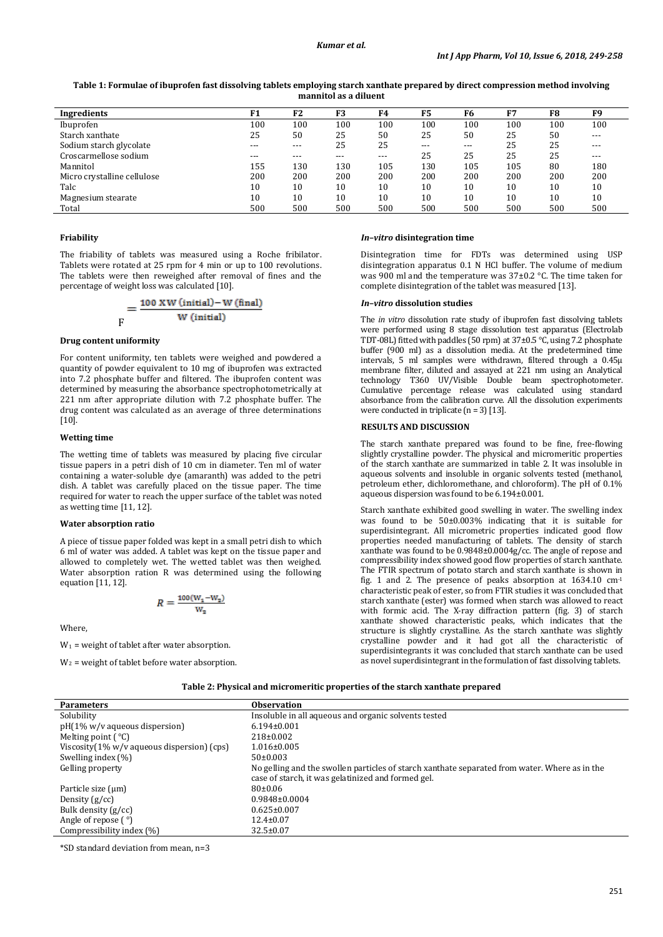**Table 1: Formulae of ibuprofen fast dissolving tablets employing starch xanthate prepared by direct compression method involving mannitol as a diluent**

| Ingredients                 | r 1 | F2  | F3    | F4    | F5    | F6    | F7  | F8  | F9    |
|-----------------------------|-----|-----|-------|-------|-------|-------|-----|-----|-------|
| Ibuprofen                   | 100 | 100 | 100   | 100   | 100   | 100   | 100 | 100 | 100   |
| Starch xanthate             | 25  | 50  | 25    | 50    | 25    | 50    | 25  | 50  | $---$ |
| Sodium starch glycolate     | --- | --- | 25    | 25    | $---$ | $---$ | 25  | 25  | $---$ |
| Croscarmellose sodium       | --- | --- | $---$ | $---$ | 25    | 25    | 25  | 25  | $---$ |
| Mannitol                    | 155 | 130 | 130   | 105   | 130   | 105   | 105 | 80  | 180   |
| Micro crystalline cellulose | 200 | 200 | 200   | 200   | 200   | 200   | 200 | 200 | 200   |
| Talc                        | 10  | 10  | 10    | 10    | 10    | 10    | 10  | 10  | 10    |
| Magnesium stearate          | 10  | 10  | 10    | 10    | 10    | 10    | 10  | 10  | 10    |
| Total                       | 500 | 500 | 500   | 500   | 500   | 500   | 500 | 500 | 500   |

# **Friability**

The friability of tablets was measured using a Roche fribilator. Tablets were rotated at 25 rpm for 4 min or up to 100 revolutions. The tablets were then reweighed after removal of fines and the percentage of weight loss was calculated [10].

$$
= \frac{100 \text{ XW (initial)-W (final)}}{\text{W (initial)}}
$$

#### **Drug content uniformity**

For content uniformity, ten tablets were weighed and powdered a quantity of powder equivalent to 10 mg of ibuprofen was extracted into 7.2 phosphate buffer and filtered. The ibuprofen content was determined by measuring the absorbance spectrophotometrically at 221 nm after appropriate dilution with 7.2 phosphate buffer. The drug content was calculated as an average of three determinations [10].

### **Wetting time**

The wetting time of tablets was measured by placing five circular tissue papers in a petri dish of 10 cm in diameter. Ten ml of water containing a water-soluble dye (amaranth) was added to the petri dish. A tablet was carefully placed on the tissue paper. The time required for water to reach the upper surface of the tablet was noted as wetting time [11, 12].

# **Water absorption ratio**

A piece of tissue paper folded was kept in a small petri dish to which 6 ml of water was added. A tablet was kept on the tissue paper and allowed to completely wet. The wetted tablet was then weighed. Water absorption ration R was determined using the following equation [11, 12].

$$
R = \frac{100(\mathrm{W}_1 - \mathrm{W}_2)}{\mathrm{W}_2}
$$

Where,

 $W_1$  = weight of tablet after water absorption.

W 2 = weight of tablet before water absorption.

# *In–vitro* **disintegration time**

Disintegration time for FDTs was determined using USP disintegration apparatus 0.1 N HCl buffer. The volume of medium was 900 ml and the temperature was 37±0.2 °C. The time taken for complete disintegration of the tablet was measured [13].

# *In–vitro* **dissolution studies**

The *in vitro* dissolution rate study of ibuprofen fast dissolving tablets were performed using 8 stage dissolution test apparatus (Electrolab TDT-08L) fitted with paddles (50 rpm) at 37±0.5 °C, using 7.2 phosphate buffer (900 ml) as a dissolution media. At the predetermined time intervals, 5 ml samples were withdrawn, filtered through a 0.45µ membrane filter, diluted and assayed at 221 nm using an Analytical technology T360 UV/Visible Double beam spectrophotometer. Cumulative percentage release was calculated using standard absorbance from the calibration curve. All the dissolution experiments were conducted in triplicate  $(n = 3)$ [13].

#### **RESULTS AND DISCUSSION**

The starch xanthate prepared was found to be fine, free-flowing slightly crystalline powder. The physical and micromeritic properties of the starch xanthate are summarized in table 2. It was insoluble in aqueous solvents and insoluble in organic solvents tested (methanol, petroleum ether, dichloromethane, and chloroform). The pH of 0.1% aqueous dispersion was found to be 6.194±0.001.

Starch xanthate exhibited good swelling in water. The swelling index was found to be 50±0.003% indicating that it is suitable for superdisintegrant. All micrometric properties indicated good flow properties needed manufacturing of tablets. The density of starch xanthate was found to be 0.9848±0.0004g/cc. The angle of repose and compressibility index showed good flow properties of starch xanthate. The FTIR spectrum of potato starch and starch xanthate is shown in fig. 1 and 2. The presence of peaks absorption at 1634.10 cm-1 characteristic peak of ester, so from FTIR studies it was concluded that starch xanthate (ester) was formed when starch was allowed to react with formic acid. The X-ray diffraction pattern (fig. 3) of starch xanthate showed characteristic peaks, which indicates that the structure is slightly crystalline. As the starch xanthate was slightly crystalline powder and it had got all the characteristic of superdisintegrants it was concluded that starch xanthate can be used as novel superdisintegrant in the formulation of fast dissolving tablets.

| Table 2: Physical and micromeritic properties of the starch xanthate prepared |  |  |
|-------------------------------------------------------------------------------|--|--|
|                                                                               |  |  |

| <b>Parameters</b>                                        | <b>Observation</b>                                                                            |
|----------------------------------------------------------|-----------------------------------------------------------------------------------------------|
| Solubility                                               | Insoluble in all aqueous and organic solvents tested                                          |
| $pH(1\% w/v)$ aqueous dispersion                         | $6.194 \pm 0.001$                                                                             |
| Melting point $(^{\circ}C)$                              | $218\pm0.002$                                                                                 |
| Viscosity $(1\% \text{ w/v}$ aqueous dispersion) $(cps)$ | $1.016 \pm 0.005$                                                                             |
| Swelling index $(\% )$                                   | $50\pm0.003$                                                                                  |
| Gelling property                                         | No gelling and the swollen particles of starch xanthate separated from water. Where as in the |
|                                                          | case of starch, it was gelatinized and formed gel.                                            |
| Particle size $(\mu m)$                                  | $80 \pm 0.06$                                                                                 |
| Density $(g/cc)$                                         | $0.9848\pm0.0004$                                                                             |
| Bulk density $(g/cc)$                                    | $0.625 \pm 0.007$                                                                             |
| Angle of repose $(\degree)$                              | $12.4 \pm 0.07$                                                                               |
| Compressibility index (%)                                | $32.5 \pm 0.07$                                                                               |

\*SD standard deviation from mean, n=3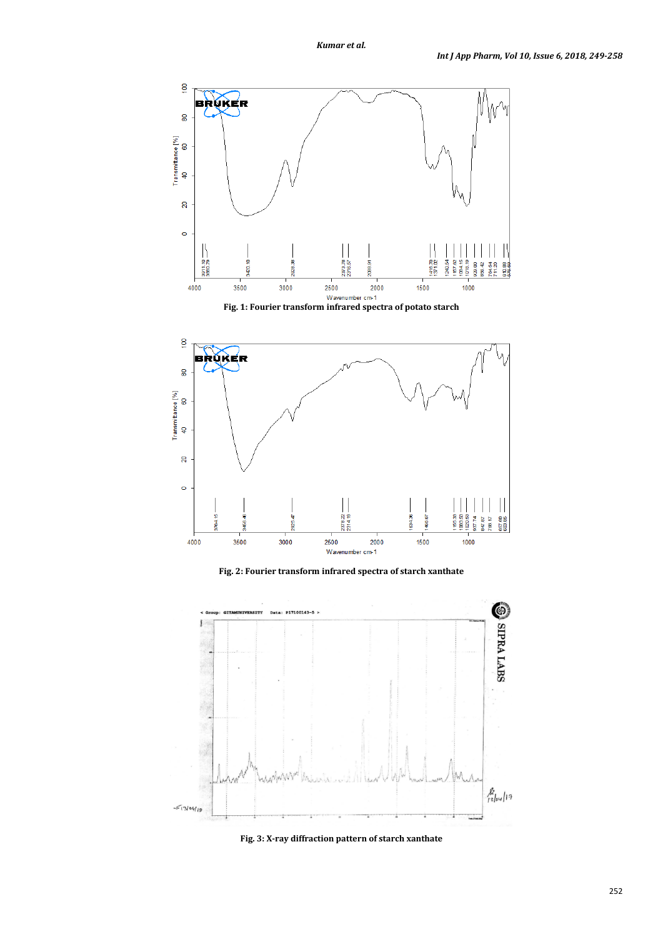



**Fig. 2: Fourier transform infrared spectra of starch xanthate**



**Fig. 3: X-ray diffraction pattern of starch xanthate**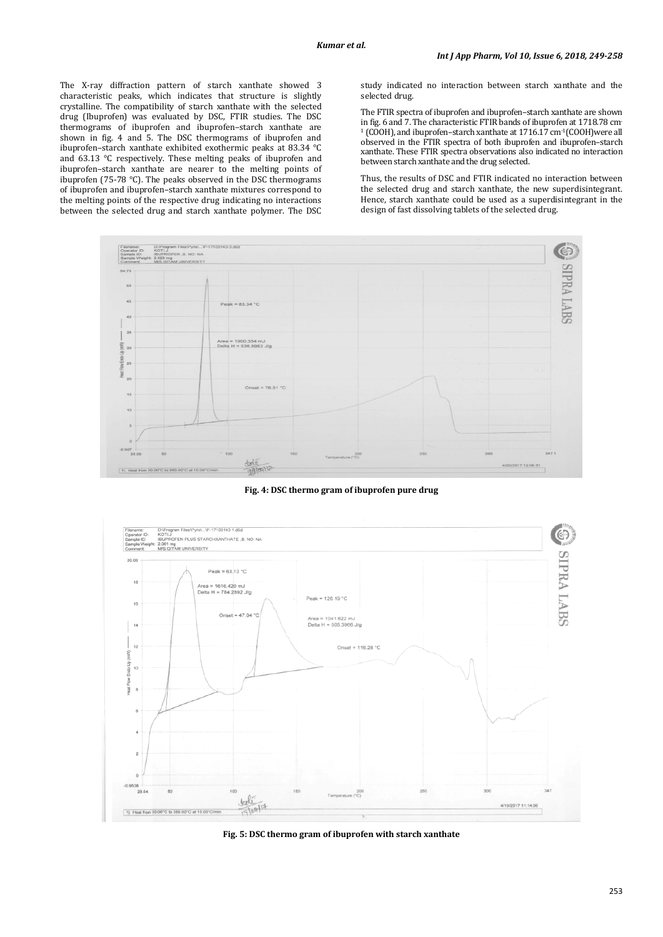The X-ray diffraction pattern of starch xanthate showed 3 characteristic peaks, which indicates that structure is slightly crystalline. The compatibility of starch xanthate with the selected drug (Ibuprofen) was evaluated by DSC, FTIR studies. The DSC thermograms of ibuprofen and ibuprofen–starch xanthate are shown in fig. 4 and 5. The DSC thermograms of ibuprofen and ibuprofen–starch xanthate exhibited exothermic peaks at 83.34 °C and 63.13 °C respectively. These melting peaks of ibuprofen and ibuprofen–starch xanthate are nearer to the melting points of ibuprofen (75-78 °C). The peaks observed in the DSC thermograms of ibuprofen and ibuprofen–starch xanthate mixtures correspond to the melting points of the respective drug indicating no interactions between the selected drug and starch xanthate polymer. The DSC study indicated no interaction between starch xanthate and the selected drug.

The FTIR spectra of ibuprofen and ibuprofen–starch xanthate are shown in fig. 6 and 7. The characteristic FTIR bands of ibuprofen at 1718.78 cm-<sup>1</sup> (COOH), and ibuprofen–starch xanthate at 1716.17 cm-1 (COOH)were all observed in the FTIR spectra of both ibuprofen and ibuprofen–starch xanthate. These FTIR spectra observations also indicated no interaction between starch xanthate and the drug selected.

Thus, the results of DSC and FTIR indicated no interaction between the selected drug and starch xanthate, the new superdisintegrant. Hence, starch xanthate could be used as a superdisintegrant in the design of fast dissolving tablets of the selected drug.



**Fig. 4: DSC thermo gram of ibuprofen pure drug**



**Fig. 5: DSC thermo gram of ibuprofen with starch xanthate**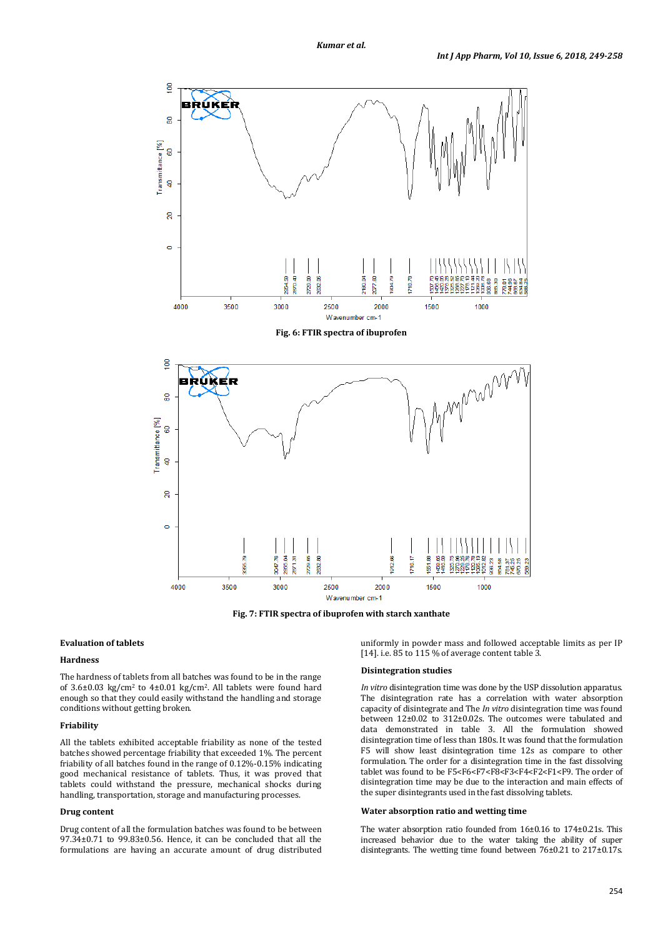

**Fig. 7: FTIR spectra of ibuprofen with starch xanthate**

# **Evaluation of tablets**

#### **Hardness**

The hardness of tablets from all batches was found to be in the range of 3.6±0.03 kg/cm2 to 4±0.01 kg/cm2 . All tablets were found hard enough so that they could easily withstand the handling and storage conditions without getting broken.

# **Friability**

All the tablets exhibited acceptable friability as none of the tested batches showed percentage friability that exceeded 1%. The percent friability of all batches found in the range of 0.12%-0.15% indicating good mechanical resistance of tablets. Thus, it was proved that tablets could withstand the pressure, mechanical shocks during handling, transportation, storage and manufacturing processes.

# **Drug content**

Drug content of all the formulation batches was found to be between 97.34±0.71 to 99.83±0.56. Hence, it can be concluded that all the formulations are having an accurate amount of drug distributed uniformly in powder mass and followed acceptable limits as per IP [14]. i.e. 85 to 115 % of average content table 3.

#### **Disintegration studies**

*In vitro* disintegration time was done by the USP dissolution apparatus. The disintegration rate has a correlation with water absorption capacity of disintegrate and The *In vitro* disintegration time was found between 12±0.02 to 312±0.02s. The outcomes were tabulated and data demonstrated in table 3. All the formulation showed disintegration time of less than 180s. It was found that the formulation F5 will show least disintegration time 12s as compare to other formulation. The order for a disintegration time in the fast dissolving tablet was found to be F5<F6<F7<F8<F3<F4<F2<F1<F9. The order of disintegration time may be due to the interaction and main effects of the super disintegrants used in the fast dissolving tablets.

### **Water absorption ratio and wetting time**

The water absorption ratio founded from 16±0.16 to 174±0.21s. This increased behavior due to the water taking the ability of super disintegrants. The wetting time found between 76±0.21 to 217±0.17s.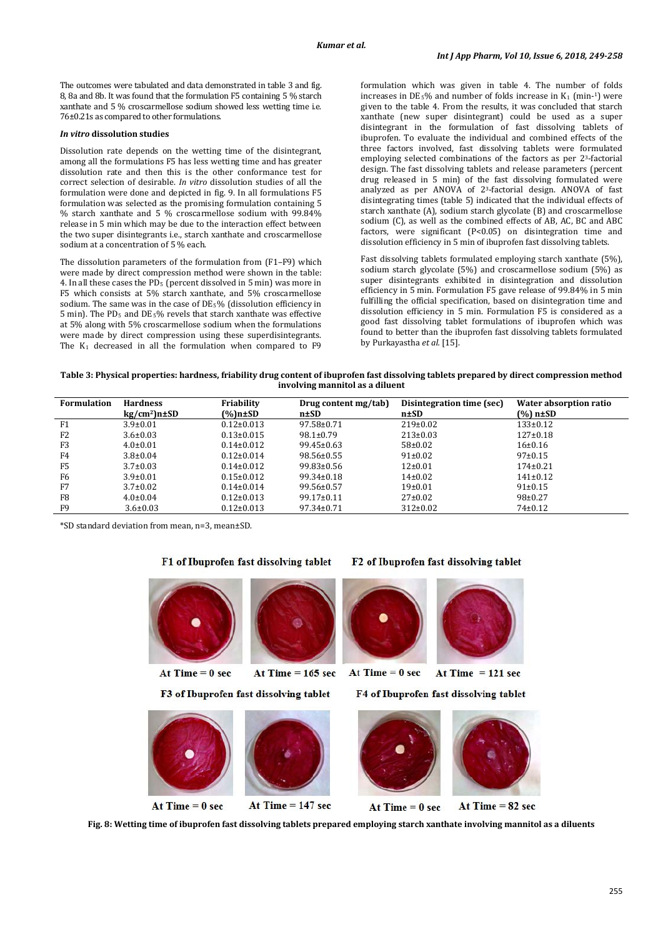The outcomes were tabulated and data demonstrated in table 3 and fig. 8, 8a and 8b. It was found that the formulation F5 containing 5 % starch xanthate and 5 % croscarmellose sodium showed less wetting time i.e. 76±0.21s as compared to other formulations.

# *In vitro* **dissolution studies**

Dissolution rate depends on the wetting time of the disintegrant, among all the formulations F5 has less wetting time and has greater dissolution rate and then this is the other conformance test for correct selection of desirable. *In vitro* dissolution studies of all the formulation were done and depicted in fig. 9. In all formulations F5 formulation was selected as the promising formulation containing 5 % starch xanthate and 5 % croscarmellose sodium with 99.84% release in 5 min which may be due to the interaction effect between the two super disintegrants i.e., starch xanthate and croscarmellose sodium at a concentration of 5 % each.

The dissolution parameters of the formulation from (F1–F9) which were made by direct compression method were shown in the table: 4. In all these cases the PD $_5$  (percent dissolved in 5 min) was more in F5 which consists at 5% starch xanthate, and 5% croscarmellose sodium. The same was in the case of DE5% (dissolution efficiency in 5 min). The PD<sub>5</sub> and DE<sub>5</sub>% revels that starch xanthate was effective at 5% along with 5% croscarmellose sodium when the formulations were made by direct compression using these superdisintegrants. The K<sub>1</sub> decreased in all the formulation when compared to F9 formulation which was given in table 4. The number of folds increases in  $DE_5\%$  and number of folds increase in  $K_1$  (min-1) were given to the table 4. From the results, it was concluded that starch xanthate (new super disintegrant) could be used as a super disintegrant in the formulation of fast dissolving tablets of ibuprofen. To evaluate the individual and combined effects of the three factors involved, fast dissolving tablets were formulated employing selected combinations of the factors as per 23-factorial design. The fast dissolving tablets and release parameters (percent drug released in 5 min) of the fast dissolving formulated were analyzed as per ANOVA of 23 -factorial design. ANOVA of fast disintegrating times (table 5) indicated that the individual effects of starch xanthate (A), sodium starch glycolate (B) and croscarmellose sodium (C), as well as the combined effects of AB, AC, BC and ABC factors, were significant (P<0.05) on disintegration time and dissolution efficiency in 5 min of ibuprofen fast dissolving tablets.

Fast dissolving tablets formulated employing starch xanthate (5%), sodium starch glycolate (5%) and croscarmellose sodium (5%) as super disintegrants exhibited in disintegration and dissolution efficiency in 5 min. Formulation F5 gave release of 99.84% in 5 min fulfilling the official specification, based on disintegration time and dissolution efficiency in 5 min. Formulation F5 is considered as a good fast dissolving tablet formulations of ibuprofen which was found to better than the ibuprofen fast dissolving tablets formulated by Purkayastha *et al.* [15].

# **Table 3: Physical properties: hardness, friability drug content of ibuprofen fast dissolving tablets prepared by direct compression method involving mannitol as a diluent**

| <b>Formulation</b> | <b>Hardness</b><br>kg/cm <sup>2</sup> )n±SD | Friability<br>$(\%)$ n±SD | Drug content mg/tab)<br>n#SD | Disintegration time (sec)<br>$n\pm SD$ | Water absorption ratio<br>(%) n±SD |
|--------------------|---------------------------------------------|---------------------------|------------------------------|----------------------------------------|------------------------------------|
| F1                 | $3.9 \pm 0.01$                              | $0.12 \pm 0.013$          | 97.58±0.71                   | $219\pm0.02$                           | $133 \pm 0.12$                     |
| F <sub>2</sub>     | $3.6 \pm 0.03$                              | $0.13 \pm 0.015$          | $98.1 \pm 0.79$              | $213 \pm 0.03$                         | $127 \pm 0.18$                     |
| F3                 | $4.0 \pm 0.01$                              | $0.14 \pm 0.012$          | $99.45 \pm 0.63$             | $58 \pm 0.02$                          | 16±0.16                            |
| F4                 | $3.8 \pm 0.04$                              | $0.12 \pm 0.014$          | $98.56 \pm 0.55$             | $91 \pm 0.02$                          | $97 \pm 0.15$                      |
| F5                 | $3.7 \pm 0.03$                              | $0.14 \pm 0.012$          | $99.83 \pm 0.56$             | $12\pm0.01$                            | $174 \pm 0.21$                     |
| F6                 | $3.9 \pm 0.01$                              | $0.15 \pm 0.012$          | $99.34 \pm 0.18$             | $14\pm0.02$                            | $141 \pm 0.12$                     |
| F7                 | $3.7 \pm 0.02$                              | $0.14\pm0.014$            | $99.56 \pm 0.57$             | 19±0.01                                | $91 \pm 0.15$                      |
| F8                 | $4.0 \pm 0.04$                              | $0.12 \pm 0.013$          | $99.17 \pm 0.11$             | $27 \pm 0.02$                          | $98+0.27$                          |
| F9                 | $3.6 \pm 0.03$                              | $0.12 \pm 0.013$          | $97.34 \pm 0.71$             | $312 \pm 0.02$                         | $74 \pm 0.12$                      |

\*SD standard deviation from mean, n=3, mean±SD.

# F1 of Ibuprofen fast dissolving tablet



At Time  $= 0$  sec

F3 of Ibuprofen fast dissolving tablet

F2 of Ibuprofen fast dissolving tablet



At Time  $= 121$  sec

F4 of Ibuprofen fast dissolving tablet



**Fig. 8: Wetting time of ibuprofen fast dissolving tablets prepared employing starch xanthate involving mannitol as a diluents**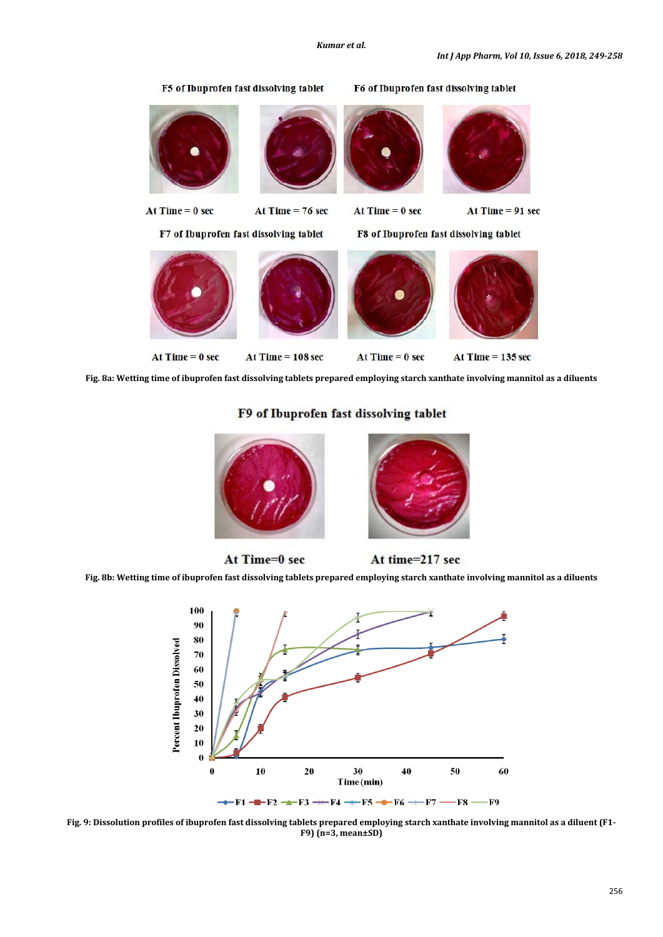

**Fig. 8a: Wetting time of ibuprofen fast dissolving tablets prepared employing starch xanthate involving mannitol as a diluents**

# F9 of Ibuprofen fast dissolving tablet



At time=217 sec

**Fig. 8b: Wetting time of ibuprofen fast dissolving tablets prepared employing starch xanthate involving mannitol as a diluents**

At Time=0 sec



**Fig. 9: Dissolution profiles of ibuprofen fast dissolving tablets prepared employing starch xanthate involving mannitol as a diluent (F1- F9) (n=3, mean±SD)**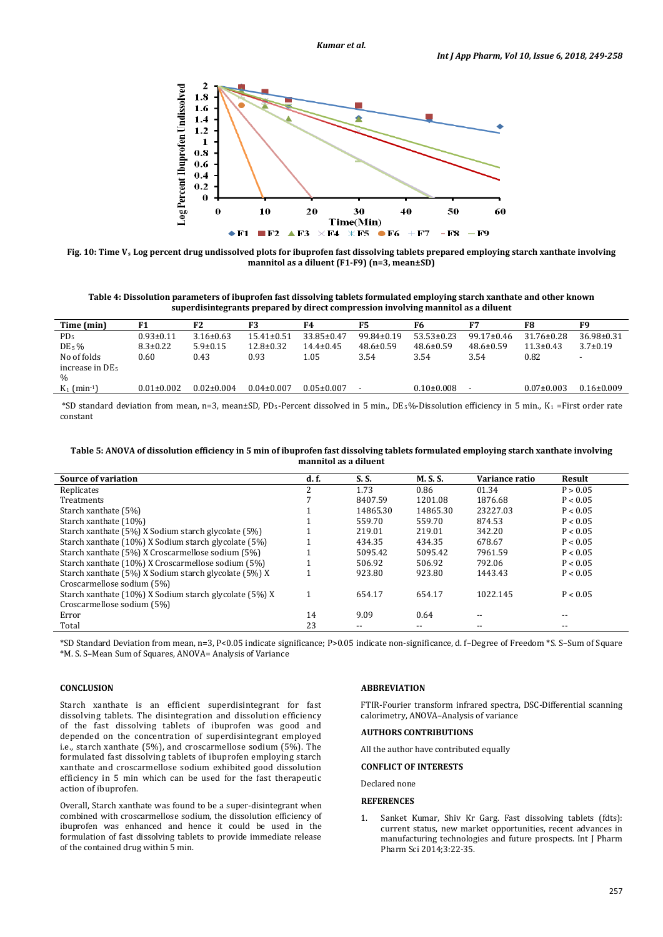

**Fig. 10: Time Vs Log percent drug undissolved plots for ibuprofen fast dissolving tablets prepared employing starch xanthate involving mannitol as a diluent (F1-F9) (n=3, mean±SD)**

**Table 4: Dissolution parameters of ibuprofen fast dissolving tablets formulated employing starch xanthate and other known superdisintegrants prepared by direct compression involving mannitol as a diluent**

| Time (min)                  | F1               | F <sub>2</sub>   | F3               | F4               | F5               | F6               | F7               | F8               | F9               |
|-----------------------------|------------------|------------------|------------------|------------------|------------------|------------------|------------------|------------------|------------------|
| PD <sub>5</sub>             | $0.93 \pm 0.11$  | $3.16 \pm 0.63$  | $15.41 \pm 0.51$ | $33.85 \pm 0.47$ | $99.84 \pm 0.19$ | $53.53 \pm 0.23$ | $99.17 \pm 0.46$ | $31.76 \pm 0.28$ | $36.98 \pm 0.31$ |
| $DE_5\%$                    | $8.3 \pm 0.22$   | $5.9 \pm 0.15$   | $12.8 \pm 0.32$  | $14.4 \pm 0.45$  | $48.6 \pm 0.59$  | $48.6 \pm 0.59$  | $48.6 \pm 0.59$  | $11.3 \pm 0.43$  | $3.7 \pm 0.19$   |
| No of folds                 | 0.60             | 0.43             | 0.93             | 1.05             | 3.54             | 3.54             | 3.54             | 0.82             |                  |
| increase in DE <sub>5</sub> |                  |                  |                  |                  |                  |                  |                  |                  |                  |
| $\frac{0}{0}$               |                  |                  |                  |                  |                  |                  |                  |                  |                  |
| $K_1$ (min <sup>-1</sup> )  | $0.01 \pm 0.002$ | $0.02 \pm 0.004$ | $0.04 \pm 0.007$ | $0.05 \pm 0.007$ |                  | $0.10\pm0.008$   | $\blacksquare$   | $0.07 \pm 0.003$ | $0.16 \pm 0.009$ |
|                             |                  |                  |                  |                  |                  |                  |                  |                  |                  |

\*SD standard deviation from mean, n=3, mean±SD, PD<sub>5</sub>-Percent dissolved in 5 min., DE<sub>5</sub>%-Dissolution efficiency in 5 min., K<sub>1</sub> =First order rate constant

| Table 5: ANOVA of dissolution efficiency in 5 min of ibuprofen fast dissolving tablets formulated employing starch xanthate involving |
|---------------------------------------------------------------------------------------------------------------------------------------|
| mannitol as a diluent                                                                                                                 |

| Source of variation                                    | d.f. | S. S.    | <b>M. S. S.</b> | Variance ratio | Result   |
|--------------------------------------------------------|------|----------|-----------------|----------------|----------|
| Replicates                                             | n.   | 1.73     | 0.86            | 01.34          | P > 0.05 |
| Treatments                                             |      | 8407.59  | 1201.08         | 1876.68        | P < 0.05 |
| Starch xanthate (5%)                                   |      | 14865.30 | 14865.30        | 23227.03       | P < 0.05 |
| Starch xanthate (10%)                                  |      | 559.70   | 559.70          | 874.53         | P < 0.05 |
| Starch xanthate (5%) X Sodium starch glycolate (5%)    |      | 219.01   | 219.01          | 342.20         | P < 0.05 |
| Starch xanthate (10%) X Sodium starch glycolate (5%)   |      | 434.35   | 434.35          | 678.67         | P < 0.05 |
| Starch xanthate (5%) X Croscarmellose sodium (5%)      |      | 5095.42  | 5095.42         | 7961.59        | P < 0.05 |
| Starch xanthate (10%) X Croscarmellose sodium (5%)     |      | 506.92   | 506.92          | 792.06         | P < 0.05 |
| Starch xanthate (5%) X Sodium starch glycolate (5%) X  |      | 923.80   | 923.80          | 1443.43        | P < 0.05 |
| Croscarmellose sodium (5%)                             |      |          |                 |                |          |
| Starch xanthate (10%) X Sodium starch glycolate (5%) X |      | 654.17   | 654.17          | 1022.145       | P < 0.05 |
| Croscarmellose sodium (5%)                             |      |          |                 |                |          |
| Error                                                  | 14   | 9.09     | 0.64            |                | --       |
| Total                                                  | 23   | $- -$    | $- -$           | $- -$          | $- -$    |

\*SD Standard Deviation from mean, n=3, P<0.05 indicate significance; P>0.05 indicate non-significance, d. f–Degree of Freedom \*S. S–Sum of Square \*M. S. S–Mean Sum of Squares, ANOVA= Analysis of Variance

# **CONCLUSION**

Starch xanthate is an efficient superdisintegrant for fast dissolving tablets. The disintegration and dissolution efficiency of the fast dissolving tablets of ibuprofen was good and depended on the concentration of superdisintegrant employed i.e., starch xanthate (5%), and croscarmellose sodium (5%). The formulated fast dissolving tablets of ibuprofen employing starch xanthate and croscarmellose sodium exhibited good dissolution efficiency in 5 min which can be used for the fast therapeutic action of ibuprofen.

Overall, Starch xanthate was found to be a super-disintegrant when combined with croscarmellose sodium, the dissolution efficiency of ibuprofen was enhanced and hence it could be used in the formulation of fast dissolving tablets to provide immediate release of the contained drug within 5 min.

# **ABBREVIATION**

FTIR-Fourier transform infrared spectra, DSC-Differential scanning calorimetry, ANOVA–Analysis of variance

# **AUTHORS CONTRIBUTIONS**

All the author have contributed equally

# **CONFLICT OF INTERESTS**

Declared none

# **REFERENCES**

1. Sanket Kumar, Shiv Kr Garg. Fast dissolving tablets (fdts): current status, new market opportunities, recent advances in manufacturing technologies and future prospects. Int J Pharm Pharm Sci 2014;3:22-35.